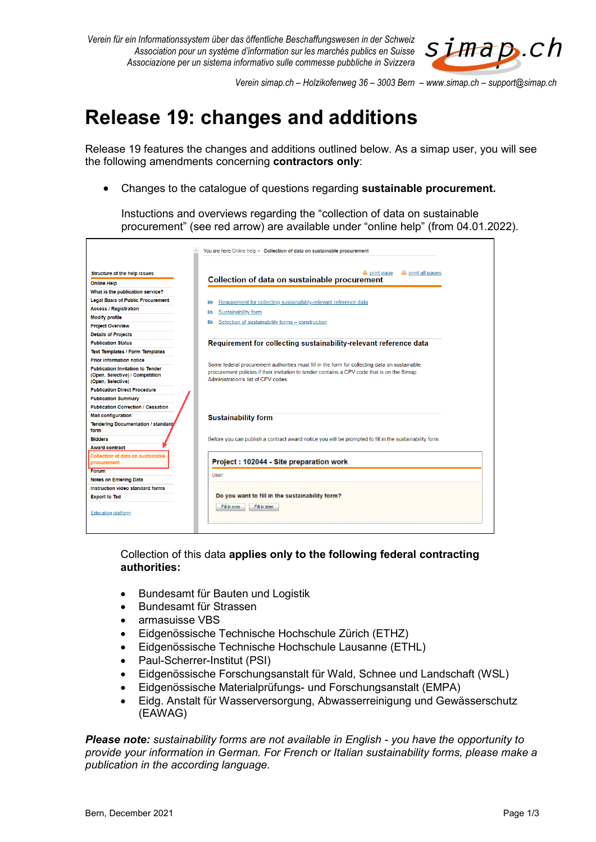

*Verein simap.ch – Holzikofenweg 36 – 3003 Bern – www.simap.ch – support@simap.ch*

## **Release 19: changes and additions**

Release 19 features the changes and additions outlined below. As a simap user, you will see the following amendments concerning **contractors only**:

Changes to the catalogue of questions regarding **sustainable procurement.**

Instuctions and overviews regarding the "collection of data on sustainable procurement" (see red arrow) are available under "online help" (from 04.01.2022).

|                                                                                                 | You are here: Online help > Collection of data on sustainable procurement                                                                                                                                                          |  |  |  |  |  |
|-------------------------------------------------------------------------------------------------|------------------------------------------------------------------------------------------------------------------------------------------------------------------------------------------------------------------------------------|--|--|--|--|--|
|                                                                                                 |                                                                                                                                                                                                                                    |  |  |  |  |  |
| Structure of the help issues                                                                    | <b>四</b> print all pages<br><b>A</b> print page                                                                                                                                                                                    |  |  |  |  |  |
| <b>Online Help</b>                                                                              | Collection of data on sustainable procurement                                                                                                                                                                                      |  |  |  |  |  |
| What is the publication service?                                                                |                                                                                                                                                                                                                                    |  |  |  |  |  |
| <b>Legal Basis of Public Procurement</b>                                                        | Requirement for collecting sustainability-relevant reference data<br>氐                                                                                                                                                             |  |  |  |  |  |
| <b>Access / Registration</b>                                                                    | Sustainability form<br>欧                                                                                                                                                                                                           |  |  |  |  |  |
| <b>Modify profile</b>                                                                           |                                                                                                                                                                                                                                    |  |  |  |  |  |
| <b>Project Overview</b>                                                                         | Selection of sustainability forms - construction<br>尀                                                                                                                                                                              |  |  |  |  |  |
| <b>Details of Projects</b>                                                                      |                                                                                                                                                                                                                                    |  |  |  |  |  |
| <b>Publication Status</b>                                                                       | Requirement for collecting sustainability-relevant reference data                                                                                                                                                                  |  |  |  |  |  |
| <b>Text Templates / Form Templates</b>                                                          |                                                                                                                                                                                                                                    |  |  |  |  |  |
| <b>Prior information notice</b>                                                                 |                                                                                                                                                                                                                                    |  |  |  |  |  |
| <b>Publication Invitation to Tender</b><br>(Open, Selective) / Competition<br>(Open, Selective) | Some federal procurement authorities must fill in the form for collecting data on sustainable<br>procurement policies if their invitation to tender contains a CPV code that is on the Simap<br>Administration's list of CPV codes |  |  |  |  |  |
| <b>Publication Direct Procedure</b>                                                             |                                                                                                                                                                                                                                    |  |  |  |  |  |
| <b>Publication Summary</b>                                                                      |                                                                                                                                                                                                                                    |  |  |  |  |  |
| <b>Publication Correction / Cessation</b>                                                       |                                                                                                                                                                                                                                    |  |  |  |  |  |
| <b>Mail configuration</b>                                                                       | <b>Sustainability form</b>                                                                                                                                                                                                         |  |  |  |  |  |
| <b>Tendering Documentation / standard</b><br>form                                               |                                                                                                                                                                                                                                    |  |  |  |  |  |
| <b>Bidders</b>                                                                                  | Before you can publish a contract award notice you will be prompted to fill in the sustainability form.                                                                                                                            |  |  |  |  |  |
| <b>Award contract</b>                                                                           |                                                                                                                                                                                                                                    |  |  |  |  |  |
| Collection of data on sustainable<br>procurement                                                | Project: 102044 - Site preparation work                                                                                                                                                                                            |  |  |  |  |  |
| Forum                                                                                           | User:                                                                                                                                                                                                                              |  |  |  |  |  |
| <b>Notes on Entering Data</b>                                                                   |                                                                                                                                                                                                                                    |  |  |  |  |  |
| Instruction video standard forms                                                                |                                                                                                                                                                                                                                    |  |  |  |  |  |
| <b>Export to Ted</b>                                                                            | Do you want to fill in the sustainability form?                                                                                                                                                                                    |  |  |  |  |  |
| <b>Education platform</b>                                                                       | Fill in later<br>Fill in now                                                                                                                                                                                                       |  |  |  |  |  |
|                                                                                                 |                                                                                                                                                                                                                                    |  |  |  |  |  |

Collection of this data **applies only to the following federal contracting authorities:**

- Bundesamt für Bauten und Logistik
- Bundesamt für Strassen
- armasuisse VBS
- Eidgenössische Technische Hochschule Zürich (ETHZ)
- Eidgenössische Technische Hochschule Lausanne (ETHL)
- Paul-Scherrer-Institut (PSI)
- Eidgenössische Forschungsanstalt für Wald, Schnee und Landschaft (WSL)
- Eidgenössische Materialprüfungs- und Forschungsanstalt (EMPA)
- Eidg. Anstalt für Wasserversorgung, Abwasserreinigung und Gewässerschutz (EAWAG)

*Please note: sustainability forms are not available in English - you have the opportunity to provide your information in German. For French or Italian sustainability forms, please make a publication in the according language.*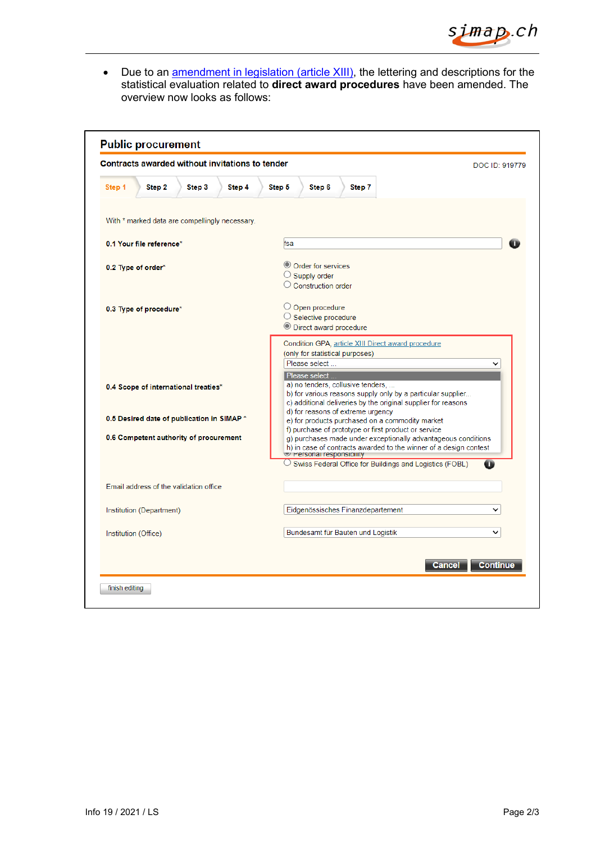

• Due to an *amendment [in legislation \(article](https://www.fedlex.admin.ch/eli/cc/1996/609_609_609/de#art_XII_I) XIII)*, the lettering and descriptions for the statistical evaluation related to **direct award procedures** have been amended. The overview now looks as follows:

| Contracts awarded without invitations to tender                                      |        |                                        |                                                                                                                                                                                                                                                                                |                                                                                                | DOC ID: 919779          |                                                                                                                                                  |               |                 |
|--------------------------------------------------------------------------------------|--------|----------------------------------------|--------------------------------------------------------------------------------------------------------------------------------------------------------------------------------------------------------------------------------------------------------------------------------|------------------------------------------------------------------------------------------------|-------------------------|--------------------------------------------------------------------------------------------------------------------------------------------------|---------------|-----------------|
| Step 1                                                                               | Step 2 | Step 3                                 | Step 4                                                                                                                                                                                                                                                                         | Step 5                                                                                         | Step 6                  | Step 7                                                                                                                                           |               |                 |
|                                                                                      |        |                                        | With * marked data are compellingly necessary.                                                                                                                                                                                                                                 |                                                                                                |                         |                                                                                                                                                  |               |                 |
| 0.1 Your file reference*                                                             |        |                                        | fsa                                                                                                                                                                                                                                                                            |                                                                                                |                         |                                                                                                                                                  |               |                 |
| 0.2 Type of order*                                                                   |        |                                        |                                                                                                                                                                                                                                                                                | © Order for services<br>$\bigcirc$ Supply order<br>$\bigcirc$ Construction order               |                         |                                                                                                                                                  |               |                 |
| 0.3 Type of procedure*                                                               |        |                                        |                                                                                                                                                                                                                                                                                | $\bigcirc$ Open procedure<br>$\bigcirc$ Selective procedure<br><b>O</b> Direct award procedure |                         |                                                                                                                                                  |               |                 |
| 0.4 Scope of international treaties*                                                 |        |                                        | Condition GPA, article XIII Direct award procedure<br>(only for statistical purposes)<br>Please select<br>◡<br>Please select<br>a) no tenders, collusive tenders,<br>b) for various reasons supply only by a particular supplier                                               |                                                                                                |                         |                                                                                                                                                  |               |                 |
| 0.5 Desired date of publication in SIMAP *<br>0.6 Competent authority of procurement |        |                                        | c) additional deliveries by the original supplier for reasons<br>d) for reasons of extreme urgency<br>e) for products purchased on a commodity market<br>f) purchase of prototype or first product or service<br>g) purchases made under exceptionally advantageous conditions |                                                                                                |                         |                                                                                                                                                  |               |                 |
|                                                                                      |        |                                        |                                                                                                                                                                                                                                                                                |                                                                                                | Personal responsibility | h) in case of contracts awarded to the winner of a design contest<br>$\circlearrowright$ Swiss Federal Office for Buildings and Logistics (FOBL) |               | o               |
|                                                                                      |        | Email address of the validation office |                                                                                                                                                                                                                                                                                |                                                                                                |                         |                                                                                                                                                  |               |                 |
| Institution (Department)                                                             |        |                                        |                                                                                                                                                                                                                                                                                | Eidgenössisches Finanzdepartement<br>$\check{ }$                                               |                         |                                                                                                                                                  |               |                 |
| Institution (Office)                                                                 |        |                                        |                                                                                                                                                                                                                                                                                |                                                                                                |                         | Bundesamt für Bauten und Logistik                                                                                                                |               | $\check{ }$     |
|                                                                                      |        |                                        |                                                                                                                                                                                                                                                                                |                                                                                                |                         |                                                                                                                                                  | <b>Cancel</b> | <b>Continue</b> |